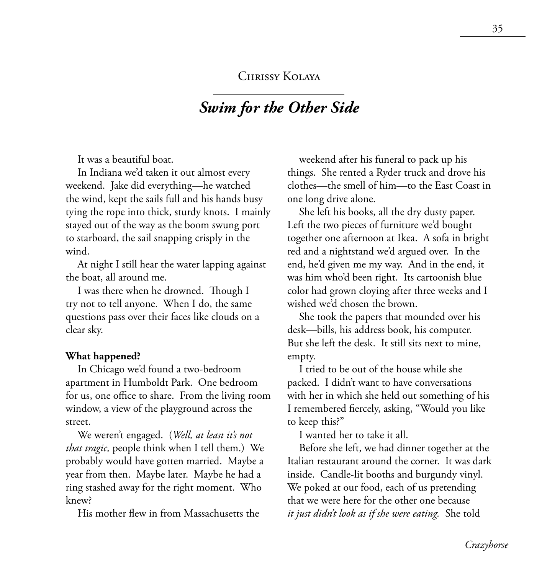Chrissy Kolaya

# *Swim for the Other Side*

 It was a beautiful boat.

 In Indiana we'd taken it out almost every weekend. Jake did everything—he watched the wind, kept the sails full and his hands busy tying the rope into thick, sturdy knots. I mainly stayed out of the way as the boom swung port to starboard, the sail snapping crisply in the wind.

 At night I still hear the water lapping against the boat, all around me.

 I was there when he drowned. Though I try not to tell anyone. When I do, the same questions pass over their faces like clouds on a clear sky.

## **What happened?**

 In Chicago we'd found a two-bedroom apartment in Humboldt Park. One bedroom for us, one office to share. From the living room window, a view of the playground across the street.

 We weren't engaged. (*Well, at least it's not that tragic,* people think when I tell them.) We probably would have gotten married. Maybe a year from then. Maybe later. Maybe he had a ring stashed away for the right moment. Who knew?

 His mother flew in from Massachusetts the

 weekend after his funeral to pack up his things. She rented a Ryder truck and drove his clothes—the smell of him—to the East Coast in one long drive alone.

 She left his books, all the dry dusty paper. Left the two pieces of furniture we'd bought together one afternoon at Ikea. A sofa in bright red and a nightstand we'd argued over. In the end, he'd given me my way. And in the end, it was him who'd been right. Its cartoonish blue color had grown cloying after three weeks and I wished we'd chosen the brown.

 She took the papers that mounded over his desk—bills, his address book, his computer. But she left the desk. It still sits next to mine, empty.

 I tried to be out of the house while she packed. I didn't want to have conversations with her in which she held out something of his I remembered fiercely, asking, "Would you like to keep this?"

 I wanted her to take it all.

 Before she left, we had dinner together at the Italian restaurant around the corner. It was dark inside. Candle-lit booths and burgundy vinyl. We poked at our food, each of us pretending that we were here for the other one because *it just didn't look as if she were eating.* She told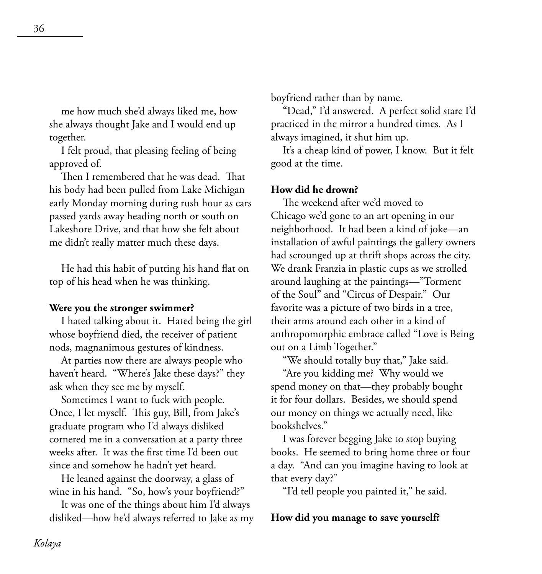me how much she'd always liked me, how she always thought Jake and I would end up together.

 I felt proud, that pleasing feeling of being approved of.

 Then I remembered that he was dead. That his body had been pulled from Lake Michigan early Monday morning during rush hour as cars passed yards away heading north or south on Lakeshore Drive, and that how she felt about me didn't really matter much these days.

 He had this habit of putting his hand flat on top of his head when he was thinking.

## **Were you the stronger swimmer?**

 I hated talking about it. Hated being the girl whose boyfriend died, the receiver of patient nods, magnanimous gestures of kindness.

 At parties now there are always people who haven't heard. "Where's Jake these days?" they ask when they see me by myself.

 Sometimes I want to fuck with people. Once, I let myself. This guy, Bill, from Jake's graduate program who I'd always disliked cornered me in a conversation at a party three weeks after. It was the first time I'd been out since and somehow he hadn't yet heard.

 He leaned against the doorway, a glass of wine in his hand. "So, how's your boyfriend?"

 It was one of the things about him I'd always disliked—how he'd always referred to Jake as my boyfriend rather than by name.

 "Dead," I'd answered. A perfect solid stare I'd practiced in the mirror a hundred times. As I always imagined, it shut him up.

 It's a cheap kind of power, I know. But it felt good at the time.

## **How did he drown?**

 The weekend after we'd moved to Chicago we'd gone to an art opening in our neighborhood. It had been a kind of joke—an installation of awful paintings the gallery owners had scrounged up at thrift shops across the city. We drank Franzia in plastic cups as we strolled around laughing at the paintings—"Torment of the Soul" and "Circus of Despair." Our favorite was a picture of two birds in a tree, their arms around each other in a kind of anthropomorphic embrace called "Love is Being out on a Limb Together."

 "We should totally buy that," Jake said.

 "Are you kidding me? Why would we spend money on that—they probably bought it for four dollars. Besides, we should spend our money on things we actually need, like bookshelves."

 I was forever begging Jake to stop buying books. He seemed to bring home three or four a day. "And can you imagine having to look at that every day?"

 "I'd tell people you painted it," he said.

#### **How did you manage to save yourself?**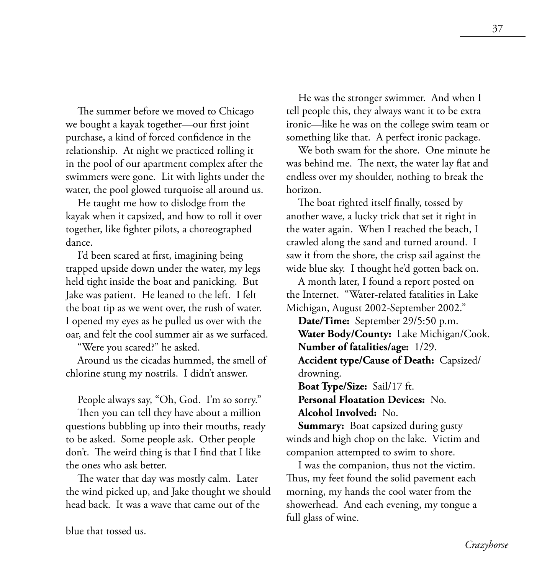The summer before we moved to Chicago we bought a kayak together—our first joint purchase, a kind of forced confidence in the relationship. At night we practiced rolling it in the pool of our apartment complex after the swimmers were gone. Lit with lights under the water, the pool glowed turquoise all around us.

 He taught me how to dislodge from the kayak when it capsized, and how to roll it over together, like fighter pilots, a choreographed dance.

 I'd been scared at first, imagining being trapped upside down under the water, my legs held tight inside the boat and panicking. But Jake was patient. He leaned to the left. I felt the boat tip as we went over, the rush of water. I opened my eyes as he pulled us over with the oar, and felt the cool summer air as we surfaced.

 "Were you scared?" he asked.

 Around us the cicadas hummed, the smell of chlorine stung my nostrils. I didn't answer.

 People always say, "Oh, God. I'm so sorry."

 Then you can tell they have about a million questions bubbling up into their mouths, ready to be asked. Some people ask. Other people don't. The weird thing is that I find that I like the ones who ask better.

 The water that day was mostly calm. Later the wind picked up, and Jake thought we should head back. It was a wave that came out of the 

 He was the stronger swimmer. And when I tell people this, they always want it to be extra ironic—like he was on the college swim team or something like that. A perfect ironic package.

 We both swam for the shore. One minute he was behind me. The next, the water lay flat and endless over my shoulder, nothing to break the horizon.

 The boat righted itself finally, tossed by another wave, a lucky trick that set it right in the water again. When I reached the beach, I crawled along the sand and turned around. I saw it from the shore, the crisp sail against the wide blue sky. I thought he'd gotten back on.

 A month later, I found a report posted on the Internet. "Water-related fatalities in Lake Michigan, August 2002-September 2002."

**Date/Time:** September 29/5:50 p.m. **Water Body/County:** Lake Michigan/Cook. **Number of fatalities/age:** 1/29. **Accident type/Cause of Death:** Capsized/ 

 drowning. **Boat Type/Size:** Sail/17 ft. **Personal Floatation Devices:** No. **Alcohol Involved:** No.

**Summary:** Boat capsized during gusty winds and high chop on the lake. Victim and companion attempted to swim to shore.

 I was the companion, thus not the victim. Thus, my feet found the solid pavement each morning, my hands the cool water from the showerhead. And each evening, my tongue a full glass of wine.

blue that tossed us.